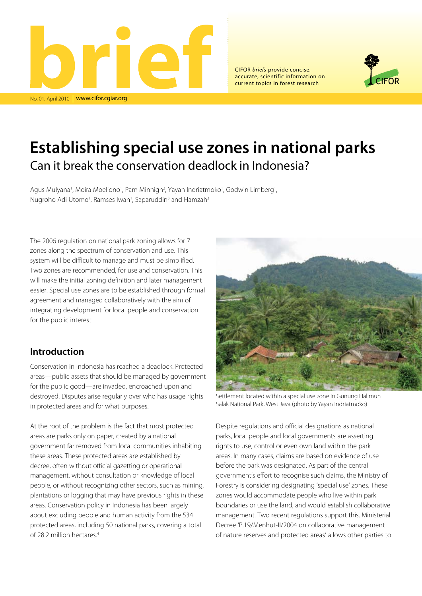

CIFOR *briefs* provide concise, accurate, scientific information on current topics in forest research



# **Establishing special use zones in national parks** Can it break the conservation deadlock in Indonesia?

Agus Mulyana<sup>1</sup>, Moira Moeliono<sup>1</sup>, Pam Minnigh<sup>2</sup>, Yayan Indriatmoko<sup>1</sup>, Godwin Limberg<sup>1</sup>, Nugroho Adi Utomo<sup>1</sup>, Ramses Iwan<sup>1</sup>, Saparuddin<sup>3</sup> and Hamzah<sup>3</sup>

The 2006 regulation on national park zoning allows for 7 zones along the spectrum of conservation and use. This system will be difficult to manage and must be simplified. Two zones are recommended, for use and conservation. This will make the initial zoning definition and later management easier. Special use zones are to be established through formal agreement and managed collaboratively with the aim of integrating development for local people and conservation for the public interest.

## **Introduction**

Conservation in Indonesia has reached a deadlock. Protected areas—public assets that should be managed by government for the public good—are invaded, encroached upon and destroyed. Disputes arise regularly over who has usage rights in protected areas and for what purposes.

At the root of the problem is the fact that most protected areas are parks only on paper, created by a national government far removed from local communities inhabiting these areas. These protected areas are established by decree, often without official gazetting or operational management, without consultation or knowledge of local people, or without recognizing other sectors, such as mining, plantations or logging that may have previous rights in these areas. Conservation policy in Indonesia has been largely about excluding people and human activity from the 534 protected areas, including 50 national parks, covering a total of 28.2 million hectares.4



Settlement located within a special use zone in Gunung Halimun Salak National Park, West Java (photo by Yayan Indriatmoko)

Despite regulations and official designations as national parks, local people and local governments are asserting rights to use, control or even own land within the park areas. In many cases, claims are based on evidence of use before the park was designated. As part of the central government's effort to recognise such claims, the Ministry of Forestry is considering designating 'special use' zones. These zones would accommodate people who live within park boundaries or use the land, and would establish collaborative management. Two recent regulations support this. Ministerial Decree 'P.19/Menhut-II/2004 on collaborative management of nature reserves and protected areas' allows other parties to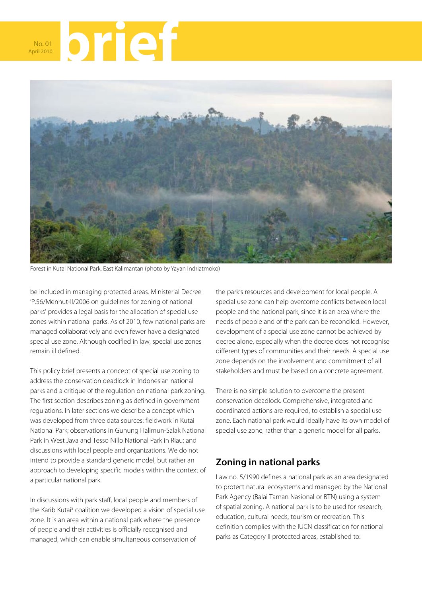



Forest in Kutai National Park, East Kalimantan (photo by Yayan Indriatmoko)

be included in managing protected areas. Ministerial Decree 'P.56/Menhut-II/2006 on guidelines for zoning of national parks' provides a legal basis for the allocation of special use zones within national parks. As of 2010, few national parks are managed collaboratively and even fewer have a designated special use zone. Although codified in law, special use zones remain ill defined.

This policy brief presents a concept of special use zoning to address the conservation deadlock in Indonesian national parks and a critique of the regulation on national park zoning. The first section describes zoning as defined in government regulations. In later sections we describe a concept which was developed from three data sources: fieldwork in Kutai National Park; observations in Gunung Halimun-Salak National Park in West Java and Tesso Nillo National Park in Riau; and discussions with local people and organizations. We do not intend to provide a standard generic model, but rather an approach to developing specific models within the context of a particular national park.

In discussions with park staff, local people and members of the Karib Kutai<sup>5</sup> coalition we developed a vision of special use zone. It is an area within a national park where the presence of people and their activities is officially recognised and managed, which can enable simultaneous conservation of

the park's resources and development for local people. A special use zone can help overcome conflicts between local people and the national park, since it is an area where the needs of people and of the park can be reconciled. However, development of a special use zone cannot be achieved by decree alone, especially when the decree does not recognise different types of communities and their needs. A special use zone depends on the involvement and commitment of all stakeholders and must be based on a concrete agreement.

There is no simple solution to overcome the present conservation deadlock. Comprehensive, integrated and coordinated actions are required, to establish a special use zone. Each national park would ideally have its own model of special use zone, rather than a generic model for all parks.

## **Zoning in national parks**

Law no. 5/1990 defines a national park as an area designated to protect natural ecosystems and managed by the National Park Agency (Balai Taman Nasional or BTN) using a system of spatial zoning. A national park is to be used for research, education, cultural needs, tourism or recreation. This definition complies with the IUCN classification for national parks as Category II protected areas, established to: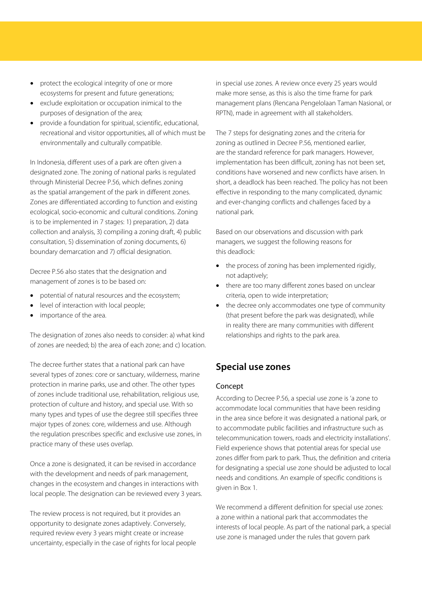- protect the ecological integrity of one or more ecosystems for present and future generations;
- exclude exploitation or occupation inimical to the purposes of designation of the area;
- provide a foundation for spiritual, scientific, educational, recreational and visitor opportunities, all of which must be environmentally and culturally compatible.

In Indonesia, different uses of a park are often given a designated zone. The zoning of national parks is regulated through Ministerial Decree P.56, which defines zoning as the spatial arrangement of the park in different zones. Zones are differentiated according to function and existing ecological, socio-economic and cultural conditions. Zoning is to be implemented in 7 stages: 1) preparation, 2) data collection and analysis, 3) compiling a zoning draft, 4) public consultation, 5) dissemination of zoning documents, 6) boundary demarcation and 7) official designation.

Decree P.56 also states that the designation and management of zones is to be based on:

- potential of natural resources and the ecosystem;
- level of interaction with local people;
- importance of the area.

The designation of zones also needs to consider: a) what kind of zones are needed; b) the area of each zone; and c) location.

The decree further states that a national park can have several types of zones: core or sanctuary, wilderness, marine protection in marine parks, use and other. The other types of zones include traditional use, rehabilitation, religious use, protection of culture and history, and special use. With so many types and types of use the degree still specifies three major types of zones: core, wilderness and use. Although the regulation prescribes specific and exclusive use zones, in practice many of these uses overlap.

Once a zone is designated, it can be revised in accordance with the development and needs of park management, changes in the ecosystem and changes in interactions with local people. The designation can be reviewed every 3 years.

The review process is not required, but it provides an opportunity to designate zones adaptively. Conversely, required review every 3 years might create or increase uncertainty, especially in the case of rights for local people in special use zones. A review once every 25 years would make more sense, as this is also the time frame for park management plans (Rencana Pengelolaan Taman Nasional, or RPTN), made in agreement with all stakeholders.

The 7 steps for designating zones and the criteria for zoning as outlined in Decree P.56, mentioned earlier, are the standard reference for park managers. However, implementation has been difficult, zoning has not been set, conditions have worsened and new conflicts have arisen. In short, a deadlock has been reached. The policy has not been effective in responding to the many complicated, dynamic and ever-changing conflicts and challenges faced by a national park.

Based on our observations and discussion with park managers, we suggest the following reasons for this deadlock:

- the process of zoning has been implemented rigidly, not adaptively;
- there are too many different zones based on unclear criteria, open to wide interpretation;
- the decree only accommodates one type of community (that present before the park was designated), while in reality there are many communities with different relationships and rights to the park area.

## **Special use zones**

#### Concept

According to Decree P.56, a special use zone is 'a zone to accommodate local communities that have been residing in the area since before it was designated a national park, or to accommodate public facilities and infrastructure such as telecommunication towers, roads and electricity installations'. Field experience shows that potential areas for special use zones differ from park to park. Thus, the definition and criteria for designating a special use zone should be adjusted to local needs and conditions. An example of specific conditions is given in Box 1.

We recommend a different definition for special use zones: a zone within a national park that accommodates the interests of local people. As part of the national park, a special use zone is managed under the rules that govern park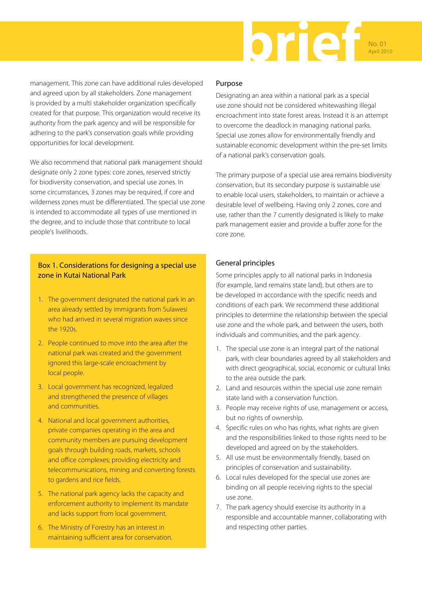

management. This zone can have additional rules developed and agreed upon by all stakeholders. Zone management is provided by a multi stakeholder organization specifically created for that purpose. This organization would receive its authority from the park agency and will be responsible for adhering to the park's conservation goals while providing opportunities for local development.

We also recommend that national park management should designate only 2 zone types: core zones, reserved strictly for biodiversity conservation, and special use zones. In some circumstances, 3 zones may be required, if core and wilderness zones must be differentiated. The special use zone is intended to accommodate all types of use mentioned in the degree, and to include those that contribute to local people's livelihoods.

## Box 1. Considerations for designing a special use zone in Kutai National Park

- 1. The government designated the national park in an area already settled by immigrants from Sulawesi who had arrived in several migration waves since the 1920s.
- 2. People continued to move into the area after the national park was created and the government ignored this large-scale encroachment by local people.
- 3. Local government has recognized, legalized and strengthened the presence of villages and communities.
- 4. National and local government authorities, private companies operating in the area and community members are pursuing development goals through building roads, markets, schools and office complexes; providing electricity and telecommunications, mining and converting forests to gardens and rice fields.
- 5. The national park agency lacks the capacity and enforcement authority to implement its mandate and lacks support from local government.
- 6. The Ministry of Forestry has an interest in maintaining sufficient area for conservation.

#### Purpose

Designating an area within a national park as a special use zone should not be considered whitewashing illegal encroachment into state forest areas. Instead it is an attempt to overcome the deadlock in managing national parks. Special use zones allow for environmentally friendly and sustainable economic development within the pre-set limits of a national park's conservation goals.

The primary purpose of a special use area remains biodiversity conservation, but its secondary purpose is sustainable use to enable local users, stakeholders, to maintain or achieve a desirable level of wellbeing. Having only 2 zones, core and use, rather than the 7 currently designated is likely to make park management easier and provide a buffer zone for the core zone.

### General principles

Some principles apply to all national parks in Indonesia (for example, land remains state land), but others are to be developed in accordance with the specific needs and conditions of each park. We recommend these additional principles to determine the relationship between the special use zone and the whole park, and between the users, both individuals and communities, and the park agency.

- 1. The special use zone is an integral part of the national park, with clear boundaries agreed by all stakeholders and with direct geographical, social, economic or cultural links to the area outside the park.
- 2. Land and resources within the special use zone remain state land with a conservation function.
- 3. People may receive rights of use, management or access, but no rights of ownership.
- 4. Specific rules on who has rights, what rights are given and the responsibilities linked to those rights need to be developed and agreed on by the stakeholders.
- 5. All use must be environmentally friendly, based on principles of conservation and sustainability.
- 6. Local rules developed for the special use zones are binding on all people receiving rights to the special use zone.
- 7. The park agency should exercise its authority in a responsible and accountable manner, collaborating with and respecting other parties.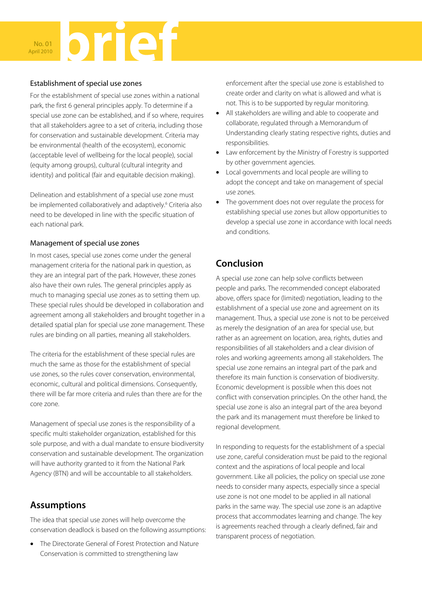

### Establishment of special use zones

For the establishment of special use zones within a national park, the first 6 general principles apply. To determine if a special use zone can be established, and if so where, requires that all stakeholders agree to a set of criteria, including those for conservation and sustainable development. Criteria may be environmental (health of the ecosystem), economic (acceptable level of wellbeing for the local people), social (equity among groups), cultural (cultural integrity and identity) and political (fair and equitable decision making).

Delineation and establishment of a special use zone must be implemented collaboratively and adaptively.<sup>6</sup> Criteria also need to be developed in line with the specific situation of each national park.

### Management of special use zones

In most cases, special use zones come under the general management criteria for the national park in question, as they are an integral part of the park. However, these zones also have their own rules. The general principles apply as much to managing special use zones as to setting them up. These special rules should be developed in collaboration and agreement among all stakeholders and brought together in a detailed spatial plan for special use zone management. These rules are binding on all parties, meaning all stakeholders.

The criteria for the establishment of these special rules are much the same as those for the establishment of special use zones, so the rules cover conservation, environmental, economic, cultural and political dimensions. Consequently, there will be far more criteria and rules than there are for the core zone.

Management of special use zones is the responsibility of a specific multi stakeholder organization, established for this sole purpose, and with a dual mandate to ensure biodiversity conservation and sustainable development. The organization will have authority granted to it from the National Park Agency (BTN) and will be accountable to all stakeholders.

## **Assumptions**

The idea that special use zones will help overcome the conservation deadlock is based on the following assumptions:

• The Directorate General of Forest Protection and Nature Conservation is committed to strengthening law

enforcement after the special use zone is established to create order and clarity on what is allowed and what is not. This is to be supported by regular monitoring.

- All stakeholders are willing and able to cooperate and collaborate, regulated through a Memorandum of Understanding clearly stating respective rights, duties and responsibilities.
- Law enforcement by the Ministry of Forestry is supported by other government agencies.
- Local governments and local people are willing to adopt the concept and take on management of special use zones.
- The government does not over regulate the process for establishing special use zones but allow opportunities to develop a special use zone in accordance with local needs and conditions.

# **Conclusion**

A special use zone can help solve conflicts between people and parks. The recommended concept elaborated above, offers space for (limited) negotiation, leading to the establishment of a special use zone and agreement on its management. Thus, a special use zone is not to be perceived as merely the designation of an area for special use, but rather as an agreement on location, area, rights, duties and responsibilities of all stakeholders and a clear division of roles and working agreements among all stakeholders. The special use zone remains an integral part of the park and therefore its main function is conservation of biodiversity. Economic development is possible when this does not conflict with conservation principles. On the other hand, the special use zone is also an integral part of the area beyond the park and its management must therefore be linked to regional development.

In responding to requests for the establishment of a special use zone, careful consideration must be paid to the regional context and the aspirations of local people and local government. Like all policies, the policy on special use zone needs to consider many aspects, especially since a special use zone is not one model to be applied in all national parks in the same way. The special use zone is an adaptive process that accommodates learning and change. The key is agreements reached through a clearly defined, fair and transparent process of negotiation.